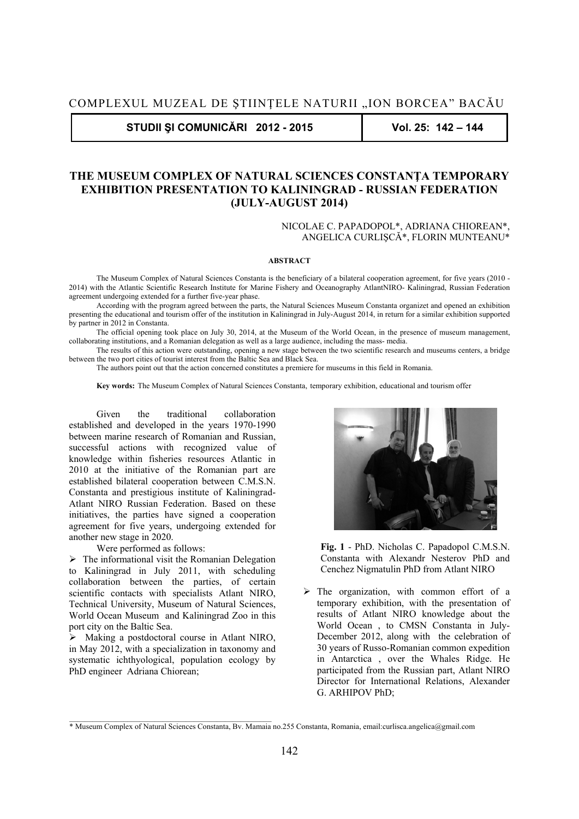**STUDII ŞI COMUNICĂRI 2012 - 2015 Vol. 25: 142 – 144** 

## **THE MUSEUM COMPLEX OF NATURAL SCIENCES CONSTANŢA TEMPORARY EXHIBITION PRESENTATION TO KALININGRAD - RUSSIAN FEDERATION (JULY-AUGUST 2014)**

## NICOLAE C. PAPADOPOL\*, ADRIANA CHIOREAN\*, ANGELICA CURLIŞCĂ\*, FLORIN MUNTEANU\*

## **ABSTRACT**

The Museum Complex of Natural Sciences Constanta is the beneficiary of a bilateral cooperation agreement, for five years (2010 - 2014) with the Atlantic Scientific Research Institute for Marine Fishery and Oceanography AtlantNIRO- Kaliningrad, Russian Federation agreement undergoing extended for a further five-year phase.

According with the program agreed between the parts, the Natural Sciences Museum Constanta organizet and opened an exhibition presenting the educational and tourism offer of the institution in Kaliningrad in July-August 2014, in return for a similar exhibition supported by partner in 2012 in Constanta.

The official opening took place on July 30, 2014, at the Museum of the World Ocean, in the presence of museum management, collaborating institutions, and a Romanian delegation as well as a large audience, including the mass- media.

The results of this action were outstanding, opening a new stage between the two scientific research and museums centers, a bridge between the two port cities of tourist interest from the Baltic Sea and Black Sea.

The authors point out that the action concerned constitutes a premiere for museums in this field in Romania.

**Key words:** The Museum Complex of Natural Sciences Constanta, temporary exhibition, educational and tourism offer

Given the traditional collaboration established and developed in the years 1970-1990 between marine research of Romanian and Russian, successful actions with recognized value of knowledge within fisheries resources Atlantic in 2010 at the initiative of the Romanian part are established bilateral cooperation between C.M.S.N. Constanta and prestigious institute of Kaliningrad-Atlant NIRO Russian Federation. Based on these initiatives, the parties have signed a cooperation agreement for five years, undergoing extended for another new stage in 2020.

Were performed as follows:

 $\triangleright$  The informational visit the Romanian Delegation to Kaliningrad in July 2011, with scheduling collaboration between the parties, of certain scientific contacts with specialists Atlant NIRO, Technical University, Museum of Natural Sciences, World Ocean Museum and Kaliningrad Zoo in this port city on the Baltic Sea.

 Making a postdoctoral course in Atlant NIRO, in May 2012, with a specialization in taxonomy and systematic ichthyological, population ecology by PhD engineer Adriana Chiorean;

 $\mathcal{L}_\text{max} = \mathcal{L}_\text{max} = \mathcal{L}_\text{max} = \mathcal{L}_\text{max} = \mathcal{L}_\text{max} = \mathcal{L}_\text{max} = \mathcal{L}_\text{max}$ 



**Fig. 1** - PhD. Nicholas C. Papadopol C.M.S.N. Constanta with Alexandr Nesterov PhD and Cenchez Nigmatulin PhD from Atlant NIRO

 $\triangleright$  The organization, with common effort of a temporary exhibition, with the presentation of results of Atlant NIRO knowledge about the World Ocean , to CMSN Constanta in July-December 2012, along with the celebration of 30 years of Russo-Romanian common expedition in Antarctica , over the Whales Ridge. He participated from the Russian part, Atlant NIRO Director for International Relations, Alexander G. ARHIPOV PhD;

<sup>\*</sup> Museum Complex of Natural Sciences Constanta, Bv. Mamaia no.255 Constanta, Romania, email:curlisca.angelica@gmail.com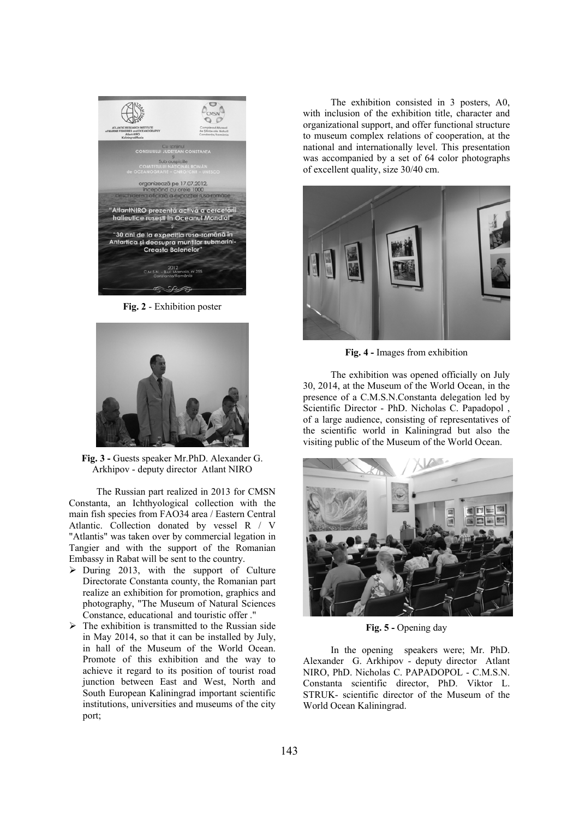

**Fig. 2** - Exhibition poster



**Fig. 3 -** Guests speaker Mr.PhD. Alexander G. Arkhipov - deputy director Atlant NIRO

The Russian part realized in 2013 for CMSN Constanta, an Ichthyological collection with the main fish species from FAO34 area / Eastern Central Atlantic. Collection donated by vessel R / V "Atlantis" was taken over by commercial legation in Tangier and with the support of the Romanian Embassy in Rabat will be sent to the country.

- $\triangleright$  During 2013, with the support of Culture Directorate Constanta county, the Romanian part realize an exhibition for promotion, graphics and photography, "The Museum of Natural Sciences Constance, educational and touristic offer ."
- $\triangleright$  The exhibition is transmitted to the Russian side in May 2014, so that it can be installed by July, in hall of the Museum of the World Ocean. Promote of this exhibition and the way to achieve it regard to its position of tourist road junction between East and West, North and South European Kaliningrad important scientific institutions, universities and museums of the city port;

The exhibition consisted in 3 posters, A0, with inclusion of the exhibition title, character and organizational support, and offer functional structure to museum complex relations of cooperation, at the national and internationally level. This presentation was accompanied by a set of 64 color photographs of excellent quality, size 30/40 cm.



**Fig. 4 -** Images from exhibition

The exhibition was opened officially on July 30, 2014, at the Museum of the World Ocean, in the presence of a C.M.S.N.Constanta delegation led by Scientific Director - PhD. Nicholas C. Papadopol , of a large audience, consisting of representatives of the scientific world in Kaliningrad but also the visiting public of the Museum of the World Ocean.



Fig. 5 - Opening day

In the opening speakers were; Mr. PhD. Alexander G. Arkhipov - deputy director Atlant NIRO, PhD. Nicholas C. PAPADOPOL - C.M.S.N. Constanta scientific director, PhD. Viktor L. STRUK- scientific director of the Museum of the World Ocean Kaliningrad.